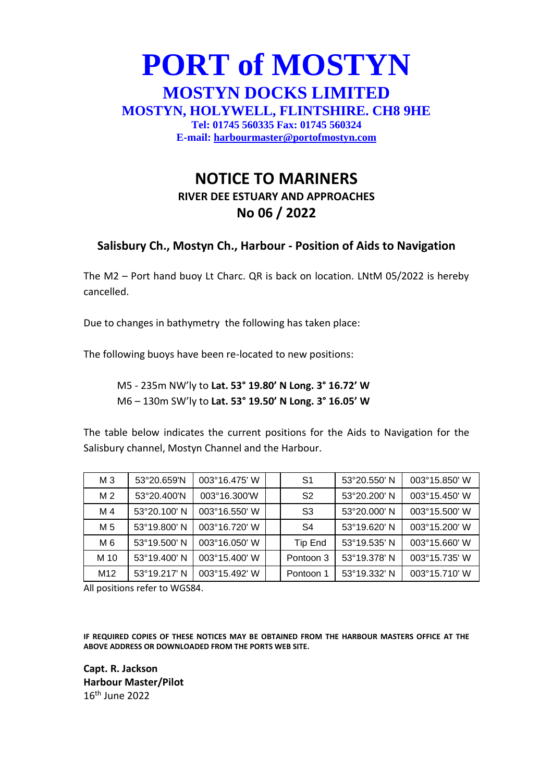## **PORT of MOSTYN MOSTYN DOCKS LIMITED MOSTYN, HOLYWELL, FLINTSHIRE. CH8 9HE Tel: 01745 560335 Fax: 01745 560324 E-mail: [harbourmaster@portofmostyn.com](mailto:harbourmaster@portofmostyn.com)**

## **NOTICE TO MARINERS RIVER DEE ESTUARY AND APPROACHES No 06 / 2022**

## **Salisbury Ch., Mostyn Ch., Harbour - Position of Aids to Navigation**

The M2 – Port hand buoy Lt Charc. QR is back on location. LNtM 05/2022 is hereby cancelled.

Due to changes in bathymetry the following has taken place:

The following buoys have been re-located to new positions:

M5 - 235m NW'ly to **Lat. 53° 19.80' N Long. 3° 16.72' W** M6 – 130m SW'ly to **Lat. 53° 19.50' N Long. 3° 16.05' W**

The table below indicates the current positions for the Aids to Navigation for the Salisbury channel, Mostyn Channel and the Harbour.

| M 3             | 53°20.659'N  | 003°16.475' W          | S1             | 53°20.550' N | 003°15.850' W |
|-----------------|--------------|------------------------|----------------|--------------|---------------|
| M <sub>2</sub>  | 53°20.400'N  | 003°16.300'W           | S <sub>2</sub> | 53°20.200' N | 003°15.450' W |
| M 4             | 53°20.100' N | 003°16.550' W          | S <sub>3</sub> | 53°20.000' N | 003°15.500' W |
| M 5             | 53°19.800' N | 003°16.720' W          | S4             | 53°19.620' N | 003°15.200' W |
| M 6             | 53°19.500' N | 003°16.050' W          | Tip End        | 53°19.535' N | 003°15.660' W |
| M 10            | 53°19.400' N | 003°15.400' W          | Pontoon 3      | 53°19.378' N | 003°15.735' W |
| M <sub>12</sub> | 53°19.217' N | $003^{\circ}15.492'$ W | Pontoon 1      | 53°19.332' N | 003°15.710' W |

All positions refer to WGS84.

**IF REQUIRED COPIES OF THESE NOTICES MAY BE OBTAINED FROM THE HARBOUR MASTERS OFFICE AT THE ABOVE ADDRESS OR DOWNLOADED FROM THE PORTS WEB SITE.**

**Capt. R. Jackson Harbour Master/Pilot** 16th June 2022